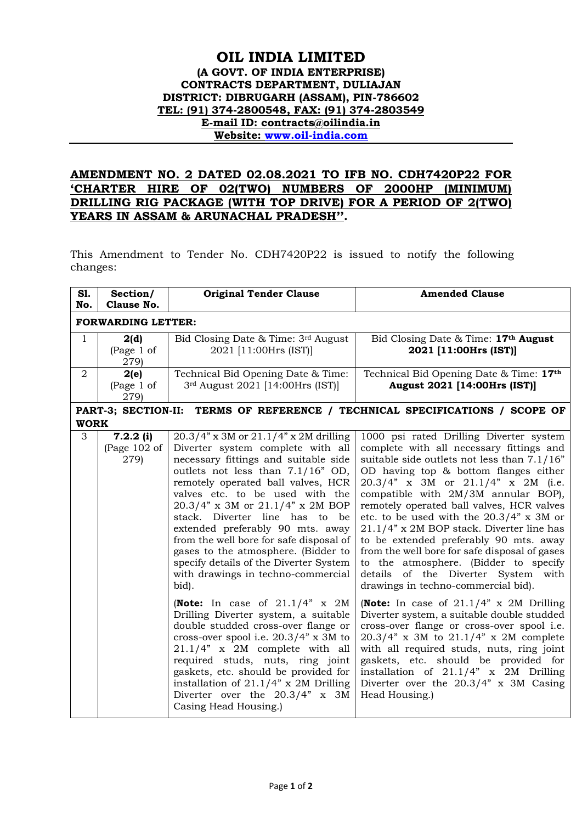## **OIL INDIA LIMITED (A GOVT. OF INDIA ENTERPRISE) CONTRACTS DEPARTMENT, DULIAJAN DISTRICT: DIBRUGARH (ASSAM), PIN-786602 TEL: (91) 374-2800548, FAX: (91) 374-2803549 E-mail ID: contracts@oilindia.in Website: [www.oil-india.com](http://www.oil-india.com/)**

## **AMENDMENT NO. 2 DATED 02.08.2021 TO IFB NO. CDH7420P22 FOR 'CHARTER HIRE OF 02(TWO) NUMBERS OF 2000HP (MINIMUM) DRILLING RIG PACKAGE (WITH TOP DRIVE) FOR A PERIOD OF 2(TWO) YEARS IN ASSAM & ARUNACHAL PRADESH''.**

This Amendment to Tender No. CDH7420P22 is issued to notify the following changes:

| S1.<br>No.                                                                      | Section/<br>Clause No.              | <b>Original Tender Clause</b>                                                                                                                                                                                                                                                                                                                                                                                                                                                                                                                                                                                                                                                                                                                                                                                                                                                                                    | <b>Amended Clause</b>                                                                                                                                                                                                                                                                                                                                                                                                                                                                                                                                                                                                                                                                                                                                                                                                                                                                                                                                                                                               |  |
|---------------------------------------------------------------------------------|-------------------------------------|------------------------------------------------------------------------------------------------------------------------------------------------------------------------------------------------------------------------------------------------------------------------------------------------------------------------------------------------------------------------------------------------------------------------------------------------------------------------------------------------------------------------------------------------------------------------------------------------------------------------------------------------------------------------------------------------------------------------------------------------------------------------------------------------------------------------------------------------------------------------------------------------------------------|---------------------------------------------------------------------------------------------------------------------------------------------------------------------------------------------------------------------------------------------------------------------------------------------------------------------------------------------------------------------------------------------------------------------------------------------------------------------------------------------------------------------------------------------------------------------------------------------------------------------------------------------------------------------------------------------------------------------------------------------------------------------------------------------------------------------------------------------------------------------------------------------------------------------------------------------------------------------------------------------------------------------|--|
| <b>FORWARDING LETTER:</b>                                                       |                                     |                                                                                                                                                                                                                                                                                                                                                                                                                                                                                                                                                                                                                                                                                                                                                                                                                                                                                                                  |                                                                                                                                                                                                                                                                                                                                                                                                                                                                                                                                                                                                                                                                                                                                                                                                                                                                                                                                                                                                                     |  |
| $\mathbf{1}$                                                                    | 2(d)<br>(Page 1 of<br>279)          | Bid Closing Date & Time: 3rd August<br>2021 [11:00Hrs (IST)]                                                                                                                                                                                                                                                                                                                                                                                                                                                                                                                                                                                                                                                                                                                                                                                                                                                     | Bid Closing Date & Time: 17th August<br>2021 [11:00Hrs (IST)]                                                                                                                                                                                                                                                                                                                                                                                                                                                                                                                                                                                                                                                                                                                                                                                                                                                                                                                                                       |  |
| $\overline{2}$                                                                  | 2(e)<br>(Page 1 of<br>279)          | Technical Bid Opening Date & Time:<br>3rd August 2021 [14:00Hrs (IST)]                                                                                                                                                                                                                                                                                                                                                                                                                                                                                                                                                                                                                                                                                                                                                                                                                                           | Technical Bid Opening Date & Time: 17th<br>August 2021 [14:00Hrs (IST)]                                                                                                                                                                                                                                                                                                                                                                                                                                                                                                                                                                                                                                                                                                                                                                                                                                                                                                                                             |  |
| PART-3; SECTION-II:<br>TERMS OF REFERENCE / TECHNICAL SPECIFICATIONS / SCOPE OF |                                     |                                                                                                                                                                                                                                                                                                                                                                                                                                                                                                                                                                                                                                                                                                                                                                                                                                                                                                                  |                                                                                                                                                                                                                                                                                                                                                                                                                                                                                                                                                                                                                                                                                                                                                                                                                                                                                                                                                                                                                     |  |
| <b>WORK</b><br>3                                                                | $7.2.2$ (i)<br>(Page 102 of<br>279) | $20.3/4$ " x 3M or $21.1/4$ " x 2M drilling<br>Diverter system complete with all<br>necessary fittings and suitable side<br>outlets not less than 7.1/16" OD,<br>remotely operated ball valves, HCR<br>valves etc. to be used with the<br>20.3/4" x 3M or 21.1/4" x 2M BOP<br>stack. Diverter line has to be<br>extended preferably 90 mts. away<br>from the well bore for safe disposal of<br>gases to the atmosphere. (Bidder to<br>specify details of the Diverter System<br>with drawings in techno-commercial<br>bid).<br>(Note: In case of $21.1/4$ " x 2M<br>Drilling Diverter system, a suitable<br>double studded cross-over flange or<br>cross-over spool i.e. $20.3/4$ " x 3M to<br>21.1/4" x 2M complete with all<br>required studs, nuts, ring joint<br>gaskets, etc. should be provided for<br>installation of $21.1/4$ " x 2M Drilling<br>Diverter over the 20.3/4" x 3M<br>Casing Head Housing.) | 1000 psi rated Drilling Diverter system<br>complete with all necessary fittings and<br>suitable side outlets not less than $7.1/16"$<br>OD having top & bottom flanges either<br>$20.3/4$ " x 3M or $21.1/4$ " x 2M (i.e.<br>compatible with 2M/3M annular BOP),<br>remotely operated ball valves, HCR valves<br>etc. to be used with the $20.3/4$ " x 3M or<br>$21.1/4$ " x 2M BOP stack. Diverter line has<br>to be extended preferably 90 mts. away<br>from the well bore for safe disposal of gases<br>to the atmosphere. (Bidder to specify<br>details of the Diverter System with<br>drawings in techno-commercial bid).<br>(Note: In case of $21.1/4$ " x 2M Drilling<br>Diverter system, a suitable double studded<br>cross-over flange or cross-over spool i.e.<br>$20.3/4$ " x 3M to $21.1/4$ " x 2M complete<br>with all required studs, nuts, ring joint<br>gaskets, etc. should be provided for<br>installation of 21.1/4" x 2M Drilling<br>Diverter over the $20.3/4$ " x 3M Casing<br>Head Housing.) |  |